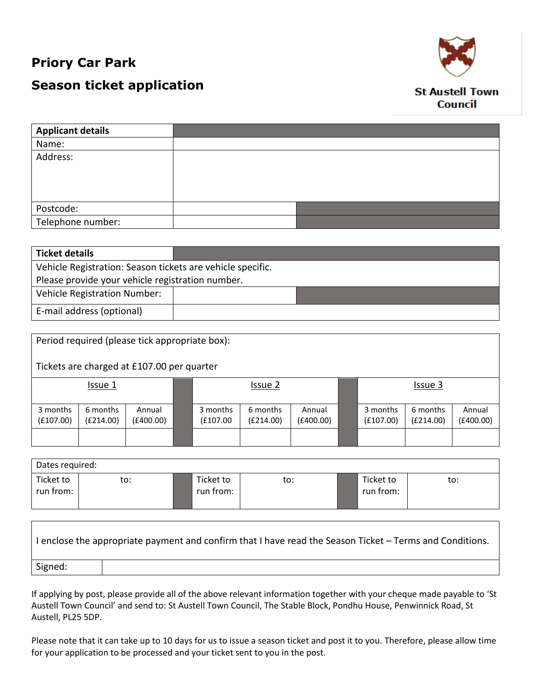## **Priory Car Park**

Г

# **Season ticket application**



### **St Austell Town Council**

| <b>Applicant details</b> |  |
|--------------------------|--|
| Name:                    |  |
| Address:                 |  |
|                          |  |
|                          |  |
|                          |  |
| Postcode:                |  |
| Telephone number:        |  |

| <b>Ticket details</b>                                      |  |  |  |  |
|------------------------------------------------------------|--|--|--|--|
| Vehicle Registration: Season tickets are vehicle specific. |  |  |  |  |
| Please provide your vehicle registration number.           |  |  |  |  |
| Vehicle Registration Number:                               |  |  |  |  |
| E-mail address (optional)                                  |  |  |  |  |

| Period required (please tick appropriate box):<br>Tickets are charged at £107.00 per quarter |                       |                     |  |                       |                       |                     |                       |                       |                     |
|----------------------------------------------------------------------------------------------|-----------------------|---------------------|--|-----------------------|-----------------------|---------------------|-----------------------|-----------------------|---------------------|
|                                                                                              | Issue 1               |                     |  | Issue 2               |                       |                     | Issue 3               |                       |                     |
| 3 months<br>(E107.00)                                                                        | 6 months<br>(E214.00) | Annual<br>(E400.00) |  | 3 months<br>(£107.00) | 6 months<br>(E214.00) | Annual<br>(£400.00) | 3 months<br>(E107.00) | 6 months<br>(E214.00) | Annual<br>(£400.00) |
|                                                                                              |                       |                     |  |                       |                       |                     |                       |                       |                     |

| Dates required:        |     |  |                        |     |  |                        |     |
|------------------------|-----|--|------------------------|-----|--|------------------------|-----|
| Ticket to<br>run from: | to: |  | Ticket to<br>run from: | to: |  | Ticket to<br>run from: | to: |

| I enclose the appropriate payment and confirm that I have read the Season Ticket – Terms and Conditions. |  |  |  |  |  |
|----------------------------------------------------------------------------------------------------------|--|--|--|--|--|
| Signed:                                                                                                  |  |  |  |  |  |

If applying by post, please provide all of the above relevant information together with your cheque made payable to 'St Austell Town Council' and send to: St Austell Town Council, The Stable Block, Pondhu House, Penwinnick Road, St Austell, PL25 5DP.

Please note that it can take up to 10 days for us to issue a season ticket and post it to you. Therefore, please allow time for your application to be processed and your ticket sent to you in the post.